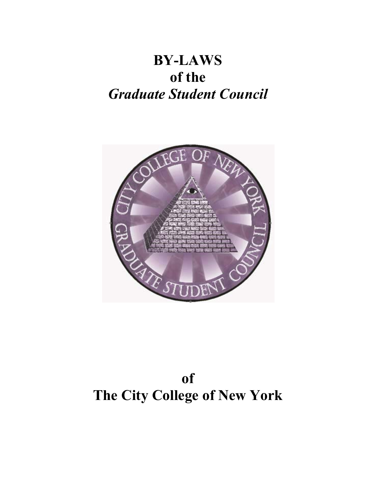## **BY-LAWS of the**  *Graduate Student Council*



# **of The City College of New York**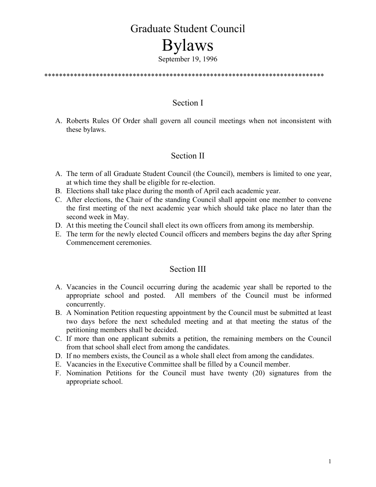# Graduate Student Council Bylaws

September 19, 1996

\*\*\*\*\*\*\*\*\*\*\*\*\*\*\*\*\*\*\*\*\*\*\*\*\*\*\*\*\*\*\*\*\*\*\*\*\*\*\*\*\*\*\*\*\*\*\*\*\*\*\*\*\*\*\*\*\*\*\*\*\*\*\*\*\*\*\*\*\*\*\*\*\*\*\*\*

## Section I

A. Roberts Rules Of Order shall govern all council meetings when not inconsistent with these bylaws.

## Section II

- A. The term of all Graduate Student Council (the Council), members is limited to one year, at which time they shall be eligible for re-election.
- B. Elections shall take place during the month of April each academic year.
- C. After elections, the Chair of the standing Council shall appoint one member to convene the first meeting of the next academic year which should take place no later than the second week in May.
- D. At this meeting the Council shall elect its own officers from among its membership.
- E. The term for the newly elected Council officers and members begins the day after Spring Commencement ceremonies.

## Section III

- A. Vacancies in the Council occurring during the academic year shall be reported to the appropriate school and posted. All members of the Council must be informed concurrently.
- B. A Nomination Petition requesting appointment by the Council must be submitted at least two days before the next scheduled meeting and at that meeting the status of the petitioning members shall be decided.
- C. If more than one applicant submits a petition, the remaining members on the Council from that school shall elect from among the candidates.
- D. If no members exists, the Council as a whole shall elect from among the candidates.
- E. Vacancies in the Executive Committee shall be filled by a Council member.
- F. Nomination Petitions for the Council must have twenty (20) signatures from the appropriate school.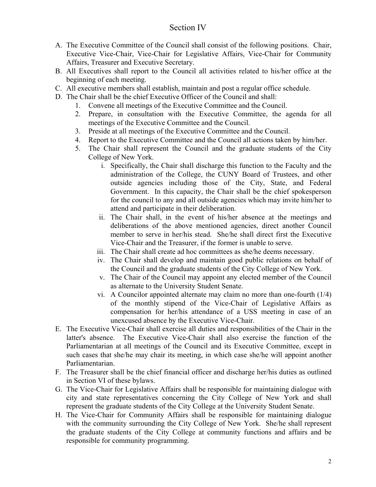## Section IV

- A. The Executive Committee of the Council shall consist of the following positions. Chair, Executive Vice-Chair, Vice-Chair for Legislative Affairs, Vice-Chair for Community Affairs, Treasurer and Executive Secretary.
- B. All Executives shall report to the Council all activities related to his/her office at the beginning of each meeting.
- C. All executive members shall establish, maintain and post a regular office schedule.
- D. The Chair shall be the chief Executive Officer of the Council and shall:
	- 1. Convene all meetings of the Executive Committee and the Council.
	- 2. Prepare, in consultation with the Executive Committee, the agenda for all meetings of the Executive Committee and the Council.
	- 3. Preside at all meetings of the Executive Committee and the Council.
	- 4. Report to the Executive Committee and the Council all actions taken by him/her.
	- 5. The Chair shall represent the Council and the graduate students of the City College of New York.
		- i. Specifically, the Chair shall discharge this function to the Faculty and the administration of the College, the CUNY Board of Trustees, and other outside agencies including those of the City, State, and Federal Government. In this capacity, the Chair shall be the chief spokesperson for the council to any and all outside agencies which may invite him/her to attend and participate in their deliberation.
		- ii. The Chair shall, in the event of his/her absence at the meetings and deliberations of the above mentioned agencies, direct another Council member to serve in her/his stead. She/he shall direct first the Executive Vice-Chair and the Treasurer, if the former is unable to serve.
		- iii. The Chair shall create ad hoc committees as she/he deems necessary.
		- iv. The Chair shall develop and maintain good public relations on behalf of the Council and the graduate students of the City College of New York.
		- v. The Chair of the Council may appoint any elected member of the Council as alternate to the University Student Senate.
		- vi. A Councilor appointed alternate may claim no more than one-fourth (1/4) of the monthly stipend of the Vice-Chair of Legislative Affairs as compensation for her/his attendance of a USS meeting in case of an unexcused absence by the Executive Vice-Chair.
- E. The Executive Vice-Chair shall exercise all duties and responsibilities of the Chair in the latter's absence. The Executive Vice-Chair shall also exercise the function of the Parliamentarian at all meetings of the Council and its Executive Committee, except in such cases that she/he may chair its meeting, in which case she/he will appoint another Parliamentarian.
- F. The Treasurer shall be the chief financial officer and discharge her/his duties as outlined in Section VI of these bylaws.
- G. The Vice-Chair for Legislative Affairs shall be responsible for maintaining dialogue with city and state representatives concerning the City College of New York and shall represent the graduate students of the City College at the University Student Senate.
- H. The Vice-Chair for Community Affairs shall be responsible for maintaining dialogue with the community surrounding the City College of New York. She/he shall represent the graduate students of the City College at community functions and affairs and be responsible for community programming.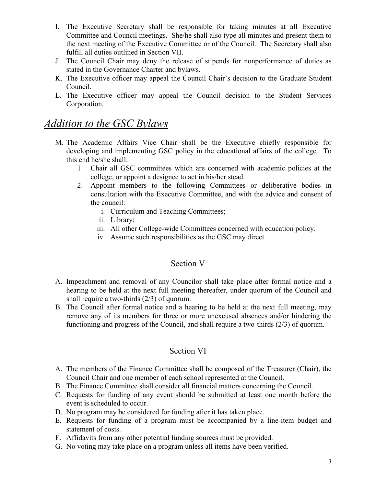- I. The Executive Secretary shall be responsible for taking minutes at all Executive Committee and Council meetings. She/he shall also type all minutes and present them to the next meeting of the Executive Committee or of the Council. The Secretary shall also fulfill all duties outlined in Section VII.
- J. The Council Chair may deny the release of stipends for nonperformance of duties as stated in the Governance Charter and bylaws.
- K. The Executive officer may appeal the Council Chair's decision to the Graduate Student Council.
- L. The Executive officer may appeal the Council decision to the Student Services Corporation.

## *Addition to the GSC Bylaws*

- M. The Academic Affairs Vice Chair shall be the Executive chiefly responsible for developing and implementing GSC policy in the educational affairs of the college. To this end he/she shall:
	- 1. Chair all GSC committees which are concerned with academic policies at the college, or appoint a designee to act in his/her stead.
	- 2. Appoint members to the following Committees or deliberative bodies in consultation with the Executive Committee, and with the advice and consent of the council:
		- i. Curriculum and Teaching Committees;
		- ii. Library;
		- iii. All other College-wide Committees concerned with education policy.
		- iv. Assume such responsibilities as the GSC may direct.

## Section V

- A. Impeachment and removal of any Councilor shall take place after formal notice and a hearing to be held at the next full meeting thereafter, under quorum of the Council and shall require a two-thirds (2/3) of quorum.
- B. The Council after formal notice and a hearing to be held at the next full meeting, may remove any of its members for three or more unexcused absences and/or hindering the functioning and progress of the Council, and shall require a two-thirds (2/3) of quorum.

## Section VI

- A. The members of the Finance Committee shall be composed of the Treasurer (Chair), the Council Chair and one member of each school represented at the Council.
- B. The Finance Committee shall consider all financial matters concerning the Council.
- C. Requests for funding of any event should be submitted at least one month before the event is scheduled to occur.
- D. No program may be considered for funding after it has taken place.
- E. Requests for funding of a program must be accompanied by a line-item budget and statement of costs.
- F. Affidavits from any other potential funding sources must be provided.
- G. No voting may take place on a program unless all items have been verified.